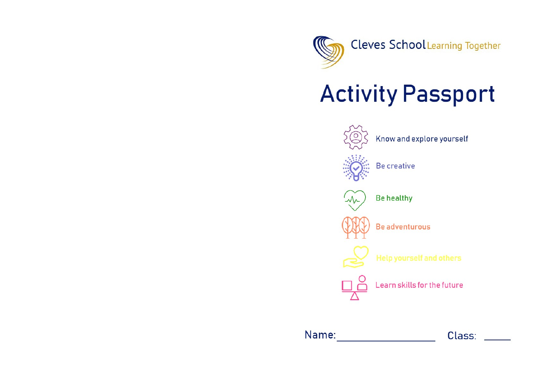

## **Activity Passport**